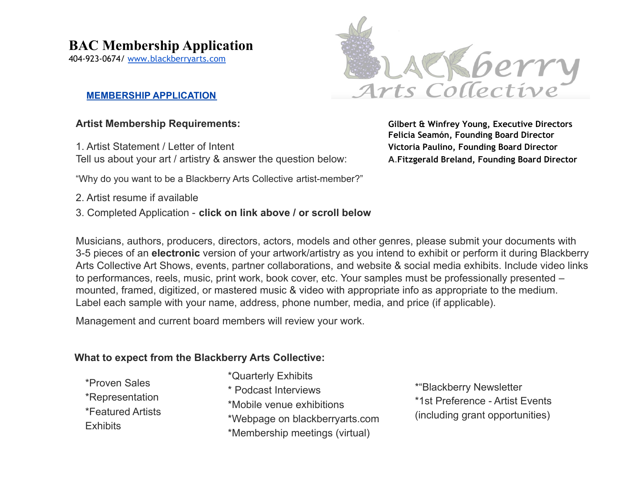## **BAC Membership Application**

404-923-0674/ [www.blackberryarts.com](http://www.blackberryarts.com)

#### **MEMBERSHIP APPLICATION**

1. Artist Statement / Letter of Intent **Victoria Paulino, Founding Board Director** Tell us about your art / artistry & answer the question below: **A**.**Fitzgerald Breland, Founding Board Director**

"Why do you want to be a Blackberry Arts Collective artist-member?"

- 2. Artist resume if available
- 3. Completed Application **click on link above / or scroll below**

Musicians, authors, producers, directors, actors, models and other genres, please submit your documents with 3-5 pieces of an **electronic** version of your artwork/artistry as you intend to exhibit or perform it during Blackberry Arts Collective Art Shows, events, partner collaborations, and website & social media exhibits. Include video links to performances, reels, music, print work, book cover, etc. Your samples must be professionally presented – mounted, framed, digitized, or mastered music & video with appropriate info as appropriate to the medium. Label each sample with your name, address, phone number, media, and price (if applicable).

Management and current board members will review your work.

### **What to expect from the Blackberry Arts Collective:**

\*Proven Sales \*Representation \*Featured Artists Exhibits

\*Quarterly Exhibits \* Podcast Interviews \*Mobile venue exhibitions \*Webpage on blackberryarts.com \*Membership meetings (virtual)

\*"Blackberry Newsletter \*1st Preference - Artist Events (including grant opportunities)

**Artist Membership Requirements: Gilbert & Winfrey Young, Executive Directors Felicia Seamón, Founding Board Director**

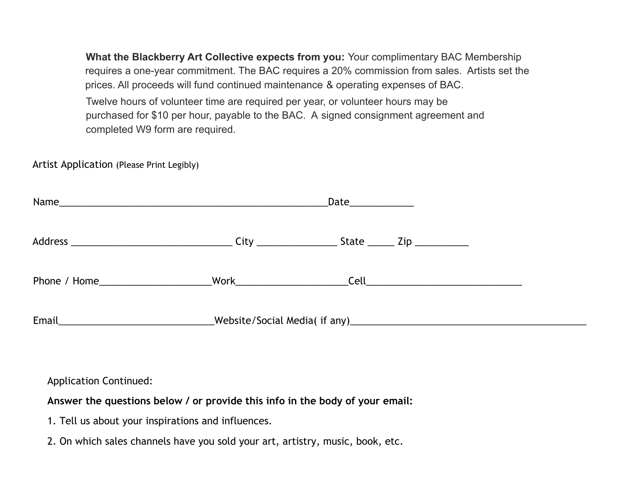**What the Blackberry Art Collective expects from you:** Your complimentary BAC Membership requires a one-year commitment. The BAC requires a 20% commission from sales. Artists set the prices. All proceeds will fund continued maintenance & operating expenses of BAC.

Twelve hours of volunteer time are required per year, or volunteer hours may be purchased for \$10 per hour, payable to the BAC. A signed consignment agreement and completed W9 form are required.

Artist Application (Please Print Legibly)

|       | Date_____________ |  |  |  |
|-------|-------------------|--|--|--|
|       |                   |  |  |  |
|       |                   |  |  |  |
| Email |                   |  |  |  |

Application Continued:

**Answer the questions below / or provide this info in the body of your email:**

- 1. Tell us about your inspirations and influences.
- 2. On which sales channels have you sold your art, artistry, music, book, etc.